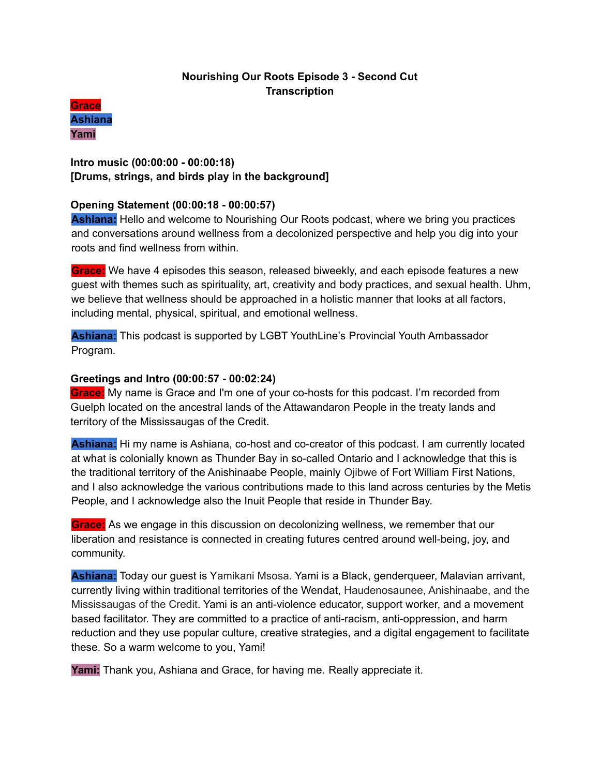# **Nourishing Our Roots Episode 3 - Second Cut Transcription**



# **Intro music (00:00:00 - 00:00:18) [Drums, strings, and birds play in the background]**

# **Opening Statement (00:00:18 - 00:00:57)**

**Ashiana:** Hello and welcome to Nourishing Our Roots podcast, where we bring you practices and conversations around wellness from a decolonized perspective and help you dig into your roots and find wellness from within.

**Grace:** We have 4 episodes this season, released biweekly, and each episode features a new guest with themes such as spirituality, art, creativity and body practices, and sexual health. Uhm, we believe that wellness should be approached in a holistic manner that looks at all factors, including mental, physical, spiritual, and emotional wellness.

**Ashiana:** This podcast is supported by LGBT YouthLine's Provincial Youth Ambassador Program.

# **Greetings and Intro (00:00:57 - 00:02:24)**

**Grace:** My name is Grace and I'm one of your co-hosts for this podcast. I'm recorded from Guelph located on the ancestral lands of the Attawandaron People in the treaty lands and territory of the Mississaugas of the Credit.

**Ashiana:** Hi my name is Ashiana, co-host and co-creator of this podcast. I am currently located at what is colonially known as Thunder Bay in so-called Ontario and I acknowledge that this is the traditional territory of the Anishinaabe People, mainly Ojibwe of Fort William First Nations, and I also acknowledge the various contributions made to this land across centuries by the Metis People, and I acknowledge also the Inuit People that reside in Thunder Bay.

**Grace:** As we engage in this discussion on decolonizing wellness, we remember that our liberation and resistance is connected in creating futures centred around well-being, joy, and community.

**Ashiana:** Today our guest is Yamikani Msosa. Yami is a Black, genderqueer, Malavian arrivant, currently living within traditional territories of the Wendat, Haudenosaunee, Anishinaabe, and the Mississaugas of the Credit. Yami is an anti-violence educator, support worker, and a movement based facilitator. They are committed to a practice of anti-racism, anti-oppression, and harm reduction and they use popular culture, creative strategies, and a digital engagement to facilitate these. So a warm welcome to you, Yami!

**Yami:** Thank you, Ashiana and Grace, for having me. Really appreciate it.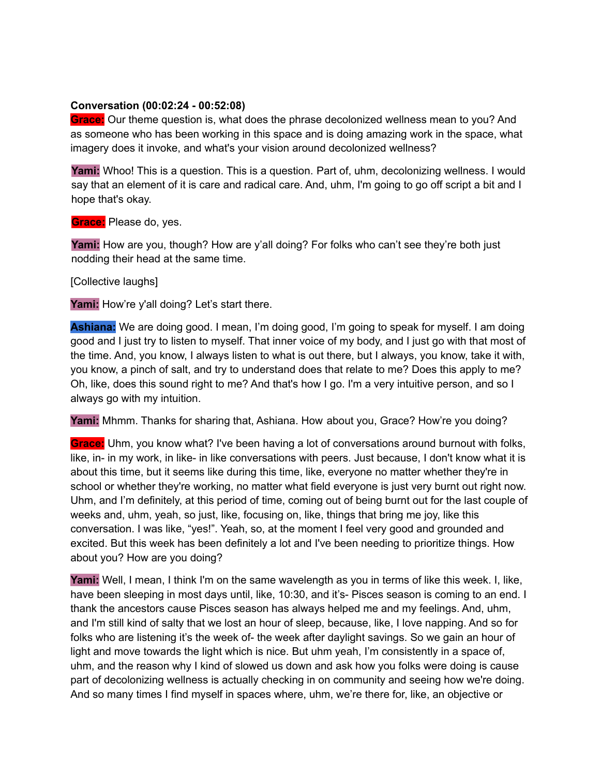#### **Conversation (00:02:24 - 00:52:08)**

**Grace:** Our theme question is, what does the phrase decolonized wellness mean to you? And as someone who has been working in this space and is doing amazing work in the space, what imagery does it invoke, and what's your vision around decolonized wellness?

**Yami:** Whoo! This is a question. This is a question. Part of, uhm, decolonizing wellness. I would say that an element of it is care and radical care. And, uhm, I'm going to go off script a bit and I hope that's okay.

**Grace:** Please do, yes.

**Yami:** How are you, though? How are y'all doing? For folks who can't see they're both just nodding their head at the same time.

[Collective laughs]

Yami: How're y'all doing? Let's start there.

**Ashiana:** We are doing good. I mean, I'm doing good, I'm going to speak for myself. I am doing good and I just try to listen to myself. That inner voice of my body, and I just go with that most of the time. And, you know, I always listen to what is out there, but I always, you know, take it with, you know, a pinch of salt, and try to understand does that relate to me? Does this apply to me? Oh, like, does this sound right to me? And that's how I go. I'm a very intuitive person, and so I always go with my intuition.

**Yami:** Mhmm. Thanks for sharing that, Ashiana. How about you, Grace? How're you doing?

**Grace:** Uhm, you know what? I've been having a lot of conversations around burnout with folks, like, in- in my work, in like- in like conversations with peers. Just because, I don't know what it is about this time, but it seems like during this time, like, everyone no matter whether they're in school or whether they're working, no matter what field everyone is just very burnt out right now. Uhm, and I'm definitely, at this period of time, coming out of being burnt out for the last couple of weeks and, uhm, yeah, so just, like, focusing on, like, things that bring me joy, like this conversation. I was like, "yes!". Yeah, so, at the moment I feel very good and grounded and excited. But this week has been definitely a lot and I've been needing to prioritize things. How about you? How are you doing?

**Yami:** Well, I mean, I think I'm on the same wavelength as you in terms of like this week. I, like, have been sleeping in most days until, like, 10:30, and it's- Pisces season is coming to an end. I thank the ancestors cause Pisces season has always helped me and my feelings. And, uhm, and I'm still kind of salty that we lost an hour of sleep, because, like, I love napping. And so for folks who are listening it's the week of- the week after daylight savings. So we gain an hour of light and move towards the light which is nice. But uhm yeah, I'm consistently in a space of, uhm, and the reason why I kind of slowed us down and ask how you folks were doing is cause part of decolonizing wellness is actually checking in on community and seeing how we're doing. And so many times I find myself in spaces where, uhm, we're there for, like, an objective or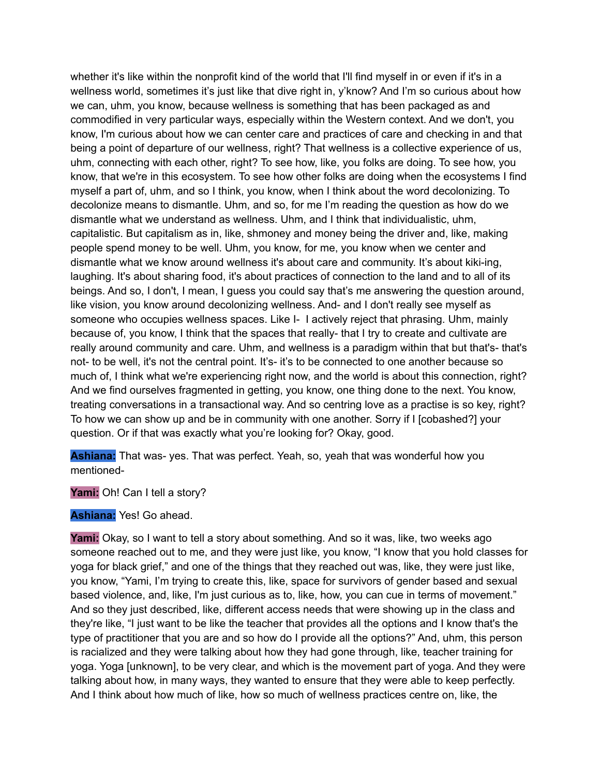whether it's like within the nonprofit kind of the world that I'll find myself in or even if it's in a wellness world, sometimes it's just like that dive right in, y'know? And I'm so curious about how we can, uhm, you know, because wellness is something that has been packaged as and commodified in very particular ways, especially within the Western context. And we don't, you know, I'm curious about how we can center care and practices of care and checking in and that being a point of departure of our wellness, right? That wellness is a collective experience of us, uhm, connecting with each other, right? To see how, like, you folks are doing. To see how, you know, that we're in this ecosystem. To see how other folks are doing when the ecosystems I find myself a part of, uhm, and so I think, you know, when I think about the word decolonizing. To decolonize means to dismantle. Uhm, and so, for me I'm reading the question as how do we dismantle what we understand as wellness. Uhm, and I think that individualistic, uhm, capitalistic. But capitalism as in, like, shmoney and money being the driver and, like, making people spend money to be well. Uhm, you know, for me, you know when we center and dismantle what we know around wellness it's about care and community. It's about kiki-ing, laughing. It's about sharing food, it's about practices of connection to the land and to all of its beings. And so, I don't, I mean, I guess you could say that's me answering the question around, like vision, you know around decolonizing wellness. And- and I don't really see myself as someone who occupies wellness spaces. Like I- I actively reject that phrasing. Uhm, mainly because of, you know, I think that the spaces that really- that I try to create and cultivate are really around community and care. Uhm, and wellness is a paradigm within that but that's- that's not- to be well, it's not the central point. It's- it's to be connected to one another because so much of, I think what we're experiencing right now, and the world is about this connection, right? And we find ourselves fragmented in getting, you know, one thing done to the next. You know, treating conversations in a transactional way. And so centring love as a practise is so key, right? To how we can show up and be in community with one another. Sorry if I [cobashed?] your question. Or if that was exactly what you're looking for? Okay, good.

**Ashiana:** That was- yes. That was perfect. Yeah, so, yeah that was wonderful how you mentioned-

Yami: Oh! Can I tell a story?

**Ashiana:** Yes! Go ahead.

**Yami:** Okay, so I want to tell a story about something. And so it was, like, two weeks ago someone reached out to me, and they were just like, you know, "I know that you hold classes for yoga for black grief," and one of the things that they reached out was, like, they were just like, you know, "Yami, I'm trying to create this, like, space for survivors of gender based and sexual based violence, and, like, I'm just curious as to, like, how, you can cue in terms of movement." And so they just described, like, different access needs that were showing up in the class and they're like, "I just want to be like the teacher that provides all the options and I know that's the type of practitioner that you are and so how do I provide all the options?" And, uhm, this person is racialized and they were talking about how they had gone through, like, teacher training for yoga. Yoga [unknown], to be very clear, and which is the movement part of yoga. And they were talking about how, in many ways, they wanted to ensure that they were able to keep perfectly. And I think about how much of like, how so much of wellness practices centre on, like, the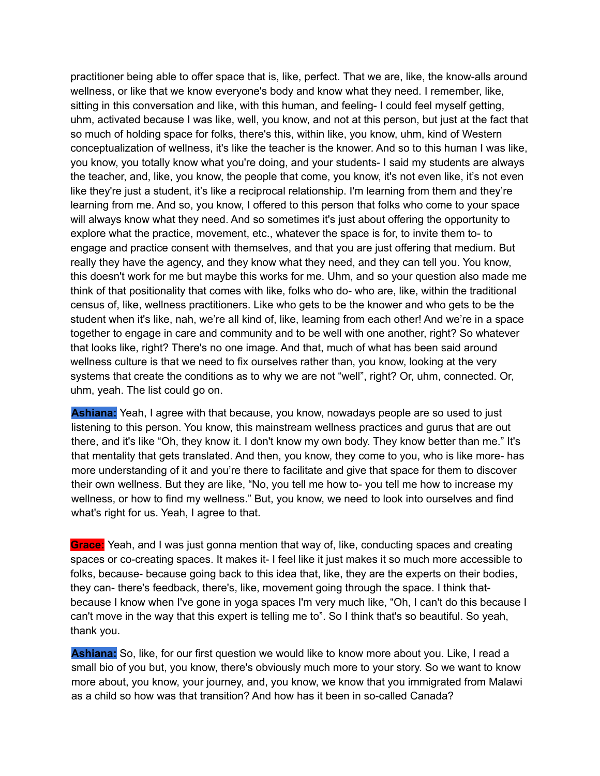practitioner being able to offer space that is, like, perfect. That we are, like, the know-alls around wellness, or like that we know everyone's body and know what they need. I remember, like, sitting in this conversation and like, with this human, and feeling- I could feel myself getting, uhm, activated because I was like, well, you know, and not at this person, but just at the fact that so much of holding space for folks, there's this, within like, you know, uhm, kind of Western conceptualization of wellness, it's like the teacher is the knower. And so to this human I was like, you know, you totally know what you're doing, and your students- I said my students are always the teacher, and, like, you know, the people that come, you know, it's not even like, it's not even like they're just a student, it's like a reciprocal relationship. I'm learning from them and they're learning from me. And so, you know, I offered to this person that folks who come to your space will always know what they need. And so sometimes it's just about offering the opportunity to explore what the practice, movement, etc., whatever the space is for, to invite them to- to engage and practice consent with themselves, and that you are just offering that medium. But really they have the agency, and they know what they need, and they can tell you. You know, this doesn't work for me but maybe this works for me. Uhm, and so your question also made me think of that positionality that comes with like, folks who do- who are, like, within the traditional census of, like, wellness practitioners. Like who gets to be the knower and who gets to be the student when it's like, nah, we're all kind of, like, learning from each other! And we're in a space together to engage in care and community and to be well with one another, right? So whatever that looks like, right? There's no one image. And that, much of what has been said around wellness culture is that we need to fix ourselves rather than, you know, looking at the very systems that create the conditions as to why we are not "well", right? Or, uhm, connected. Or, uhm, yeah. The list could go on.

**Ashiana:** Yeah, I agree with that because, you know, nowadays people are so used to just listening to this person. You know, this mainstream wellness practices and gurus that are out there, and it's like "Oh, they know it. I don't know my own body. They know better than me." It's that mentality that gets translated. And then, you know, they come to you, who is like more- has more understanding of it and you're there to facilitate and give that space for them to discover their own wellness. But they are like, "No, you tell me how to- you tell me how to increase my wellness, or how to find my wellness." But, you know, we need to look into ourselves and find what's right for us. Yeah, I agree to that.

**Grace:** Yeah, and I was just gonna mention that way of, like, conducting spaces and creating spaces or co-creating spaces. It makes it- I feel like it just makes it so much more accessible to folks, because- because going back to this idea that, like, they are the experts on their bodies, they can- there's feedback, there's, like, movement going through the space. I think thatbecause I know when I've gone in yoga spaces I'm very much like, "Oh, I can't do this because I can't move in the way that this expert is telling me to". So I think that's so beautiful. So yeah, thank you.

**Ashiana:** So, like, for our first question we would like to know more about you. Like, I read a small bio of you but, you know, there's obviously much more to your story. So we want to know more about, you know, your journey, and, you know, we know that you immigrated from Malawi as a child so how was that transition? And how has it been in so-called Canada?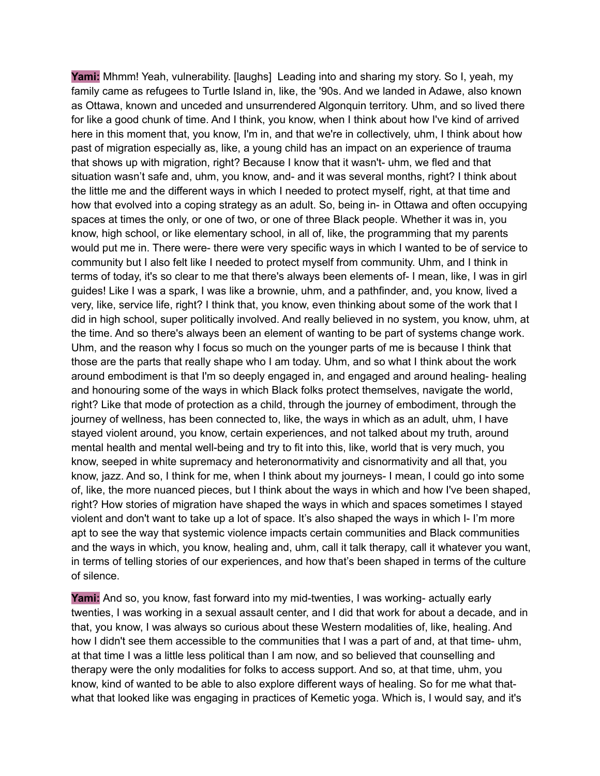**Yami:** Mhmm! Yeah, vulnerability. [laughs] Leading into and sharing my story. So I, yeah, my family came as refugees to Turtle Island in, like, the '90s. And we landed in Adawe, also known as Ottawa, known and unceded and unsurrendered Algonquin territory. Uhm, and so lived there for like a good chunk of time. And I think, you know, when I think about how I've kind of arrived here in this moment that, you know, I'm in, and that we're in collectively, uhm, I think about how past of migration especially as, like, a young child has an impact on an experience of trauma that shows up with migration, right? Because I know that it wasn't- uhm, we fled and that situation wasn't safe and, uhm, you know, and- and it was several months, right? I think about the little me and the different ways in which I needed to protect myself, right, at that time and how that evolved into a coping strategy as an adult. So, being in- in Ottawa and often occupying spaces at times the only, or one of two, or one of three Black people. Whether it was in, you know, high school, or like elementary school, in all of, like, the programming that my parents would put me in. There were- there were very specific ways in which I wanted to be of service to community but I also felt like I needed to protect myself from community. Uhm, and I think in terms of today, it's so clear to me that there's always been elements of- I mean, like, I was in girl guides! Like I was a spark, I was like a brownie, uhm, and a pathfinder, and, you know, lived a very, like, service life, right? I think that, you know, even thinking about some of the work that I did in high school, super politically involved. And really believed in no system, you know, uhm, at the time. And so there's always been an element of wanting to be part of systems change work. Uhm, and the reason why I focus so much on the younger parts of me is because I think that those are the parts that really shape who I am today. Uhm, and so what I think about the work around embodiment is that I'm so deeply engaged in, and engaged and around healing- healing and honouring some of the ways in which Black folks protect themselves, navigate the world, right? Like that mode of protection as a child, through the journey of embodiment, through the journey of wellness, has been connected to, like, the ways in which as an adult, uhm, I have stayed violent around, you know, certain experiences, and not talked about my truth, around mental health and mental well-being and try to fit into this, like, world that is very much, you know, seeped in white supremacy and heteronormativity and cisnormativity and all that, you know, jazz. And so, I think for me, when I think about my journeys- I mean, I could go into some of, like, the more nuanced pieces, but I think about the ways in which and how I've been shaped, right? How stories of migration have shaped the ways in which and spaces sometimes I stayed violent and don't want to take up a lot of space. It's also shaped the ways in which I- I'm more apt to see the way that systemic violence impacts certain communities and Black communities and the ways in which, you know, healing and, uhm, call it talk therapy, call it whatever you want, in terms of telling stories of our experiences, and how that's been shaped in terms of the culture of silence.

**Yami:** And so, you know, fast forward into my mid-twenties, I was working- actually early twenties, I was working in a sexual assault center, and I did that work for about a decade, and in that, you know, I was always so curious about these Western modalities of, like, healing. And how I didn't see them accessible to the communities that I was a part of and, at that time- uhm, at that time I was a little less political than I am now, and so believed that counselling and therapy were the only modalities for folks to access support. And so, at that time, uhm, you know, kind of wanted to be able to also explore different ways of healing. So for me what thatwhat that looked like was engaging in practices of Kemetic yoga. Which is, I would say, and it's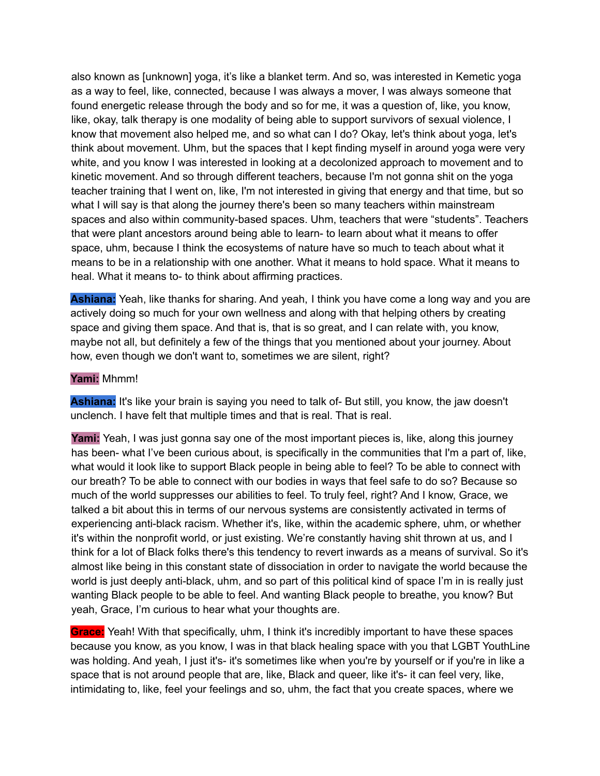also known as [unknown] yoga, it's like a blanket term. And so, was interested in Kemetic yoga as a way to feel, like, connected, because I was always a mover, I was always someone that found energetic release through the body and so for me, it was a question of, like, you know, like, okay, talk therapy is one modality of being able to support survivors of sexual violence, I know that movement also helped me, and so what can I do? Okay, let's think about yoga, let's think about movement. Uhm, but the spaces that I kept finding myself in around yoga were very white, and you know I was interested in looking at a decolonized approach to movement and to kinetic movement. And so through different teachers, because I'm not gonna shit on the yoga teacher training that I went on, like, I'm not interested in giving that energy and that time, but so what I will say is that along the journey there's been so many teachers within mainstream spaces and also within community-based spaces. Uhm, teachers that were "students". Teachers that were plant ancestors around being able to learn- to learn about what it means to offer space, uhm, because I think the ecosystems of nature have so much to teach about what it means to be in a relationship with one another. What it means to hold space. What it means to heal. What it means to- to think about affirming practices.

**Ashiana:** Yeah, like thanks for sharing. And yeah, I think you have come a long way and you are actively doing so much for your own wellness and along with that helping others by creating space and giving them space. And that is, that is so great, and I can relate with, you know, maybe not all, but definitely a few of the things that you mentioned about your journey. About how, even though we don't want to, sometimes we are silent, right?

#### **Yami:** Mhmm!

Ashiana: It's like your brain is saying you need to talk of- But still, you know, the jaw doesn't unclench. I have felt that multiple times and that is real. That is real.

**Yami:** Yeah, I was just gonna say one of the most important pieces is, like, along this journey has been- what I've been curious about, is specifically in the communities that I'm a part of, like, what would it look like to support Black people in being able to feel? To be able to connect with our breath? To be able to connect with our bodies in ways that feel safe to do so? Because so much of the world suppresses our abilities to feel. To truly feel, right? And I know, Grace, we talked a bit about this in terms of our nervous systems are consistently activated in terms of experiencing anti-black racism. Whether it's, like, within the academic sphere, uhm, or whether it's within the nonprofit world, or just existing. We're constantly having shit thrown at us, and I think for a lot of Black folks there's this tendency to revert inwards as a means of survival. So it's almost like being in this constant state of dissociation in order to navigate the world because the world is just deeply anti-black, uhm, and so part of this political kind of space I'm in is really just wanting Black people to be able to feel. And wanting Black people to breathe, you know? But yeah, Grace, I'm curious to hear what your thoughts are.

**Grace:** Yeah! With that specifically, uhm, I think it's incredibly important to have these spaces because you know, as you know, I was in that black healing space with you that LGBT YouthLine was holding. And yeah, I just it's- it's sometimes like when you're by yourself or if you're in like a space that is not around people that are, like, Black and queer, like it's- it can feel very, like, intimidating to, like, feel your feelings and so, uhm, the fact that you create spaces, where we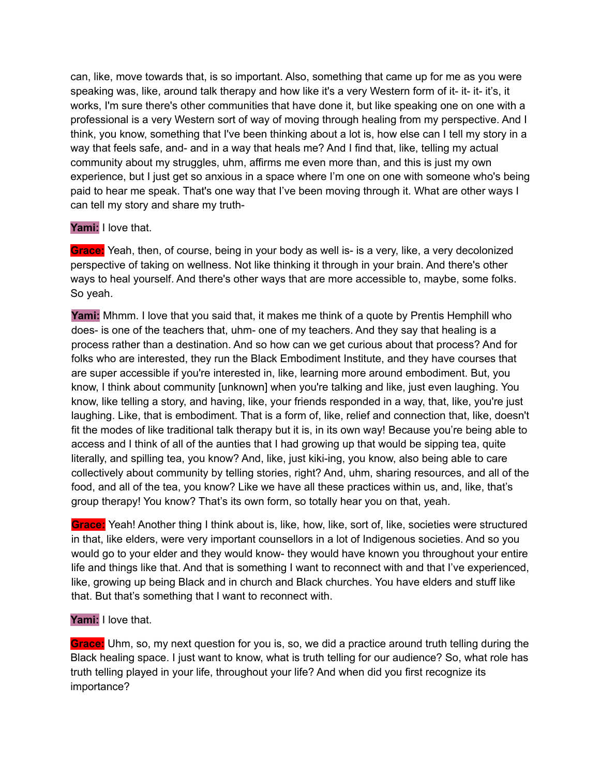can, like, move towards that, is so important. Also, something that came up for me as you were speaking was, like, around talk therapy and how like it's a very Western form of it- it- it- it's, it works, I'm sure there's other communities that have done it, but like speaking one on one with a professional is a very Western sort of way of moving through healing from my perspective. And I think, you know, something that I've been thinking about a lot is, how else can I tell my story in a way that feels safe, and- and in a way that heals me? And I find that, like, telling my actual community about my struggles, uhm, affirms me even more than, and this is just my own experience, but I just get so anxious in a space where I'm one on one with someone who's being paid to hear me speak. That's one way that I've been moving through it. What are other ways I can tell my story and share my truth-

#### **Yami:** I love that.

**Grace:** Yeah, then, of course, being in your body as well is- is a very, like, a very decolonized perspective of taking on wellness. Not like thinking it through in your brain. And there's other ways to heal yourself. And there's other ways that are more accessible to, maybe, some folks. So yeah.

**Yami:** Mhmm. I love that you said that, it makes me think of a quote by Prentis Hemphill who does- is one of the teachers that, uhm- one of my teachers. And they say that healing is a process rather than a destination. And so how can we get curious about that process? And for folks who are interested, they run the Black Embodiment Institute, and they have courses that are super accessible if you're interested in, like, learning more around embodiment. But, you know, I think about community [unknown] when you're talking and like, just even laughing. You know, like telling a story, and having, like, your friends responded in a way, that, like, you're just laughing. Like, that is embodiment. That is a form of, like, relief and connection that, like, doesn't fit the modes of like traditional talk therapy but it is, in its own way! Because you're being able to access and I think of all of the aunties that I had growing up that would be sipping tea, quite literally, and spilling tea, you know? And, like, just kiki-ing, you know, also being able to care collectively about community by telling stories, right? And, uhm, sharing resources, and all of the food, and all of the tea, you know? Like we have all these practices within us, and, like, that's group therapy! You know? That's its own form, so totally hear you on that, yeah.

**Grace:** Yeah! Another thing I think about is, like, how, like, sort of, like, societies were structured in that, like elders, were very important counsellors in a lot of Indigenous societies. And so you would go to your elder and they would know- they would have known you throughout your entire life and things like that. And that is something I want to reconnect with and that I've experienced, like, growing up being Black and in church and Black churches. You have elders and stuff like that. But that's something that I want to reconnect with.

#### **Yami:** I love that.

**Grace:** Uhm, so, my next question for you is, so, we did a practice around truth telling during the Black healing space. I just want to know, what is truth telling for our audience? So, what role has truth telling played in your life, throughout your life? And when did you first recognize its importance?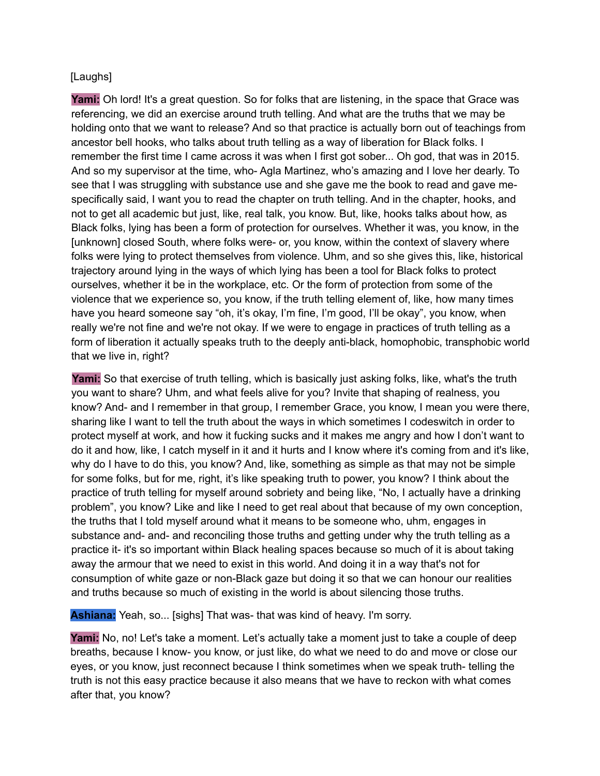# [Laughs]

**Yami:** Oh lord! It's a great question. So for folks that are listening, in the space that Grace was referencing, we did an exercise around truth telling. And what are the truths that we may be holding onto that we want to release? And so that practice is actually born out of teachings from ancestor bell hooks, who talks about truth telling as a way of liberation for Black folks. I remember the first time I came across it was when I first got sober... Oh god, that was in 2015. And so my supervisor at the time, who- Agla Martinez, who's amazing and I love her dearly. To see that I was struggling with substance use and she gave me the book to read and gave mespecifically said, I want you to read the chapter on truth telling. And in the chapter, hooks, and not to get all academic but just, like, real talk, you know. But, like, hooks talks about how, as Black folks, lying has been a form of protection for ourselves. Whether it was, you know, in the [unknown] closed South, where folks were- or, you know, within the context of slavery where folks were lying to protect themselves from violence. Uhm, and so she gives this, like, historical trajectory around lying in the ways of which lying has been a tool for Black folks to protect ourselves, whether it be in the workplace, etc. Or the form of protection from some of the violence that we experience so, you know, if the truth telling element of, like, how many times have you heard someone say "oh, it's okay, I'm fine, I'm good, I'll be okay", you know, when really we're not fine and we're not okay. If we were to engage in practices of truth telling as a form of liberation it actually speaks truth to the deeply anti-black, homophobic, transphobic world that we live in, right?

**Yami:** So that exercise of truth telling, which is basically just asking folks, like, what's the truth you want to share? Uhm, and what feels alive for you? Invite that shaping of realness, you know? And- and I remember in that group, I remember Grace, you know, I mean you were there, sharing like I want to tell the truth about the ways in which sometimes I codeswitch in order to protect myself at work, and how it fucking sucks and it makes me angry and how I don't want to do it and how, like, I catch myself in it and it hurts and I know where it's coming from and it's like, why do I have to do this, you know? And, like, something as simple as that may not be simple for some folks, but for me, right, it's like speaking truth to power, you know? I think about the practice of truth telling for myself around sobriety and being like, "No, I actually have a drinking problem", you know? Like and like I need to get real about that because of my own conception, the truths that I told myself around what it means to be someone who, uhm, engages in substance and- and- and reconciling those truths and getting under why the truth telling as a practice it- it's so important within Black healing spaces because so much of it is about taking away the armour that we need to exist in this world. And doing it in a way that's not for consumption of white gaze or non-Black gaze but doing it so that we can honour our realities and truths because so much of existing in the world is about silencing those truths.

**Ashiana:** Yeah, so... [sighs] That was- that was kind of heavy. I'm sorry.

**Yami:** No, no! Let's take a moment. Let's actually take a moment just to take a couple of deep breaths, because I know- you know, or just like, do what we need to do and move or close our eyes, or you know, just reconnect because I think sometimes when we speak truth- telling the truth is not this easy practice because it also means that we have to reckon with what comes after that, you know?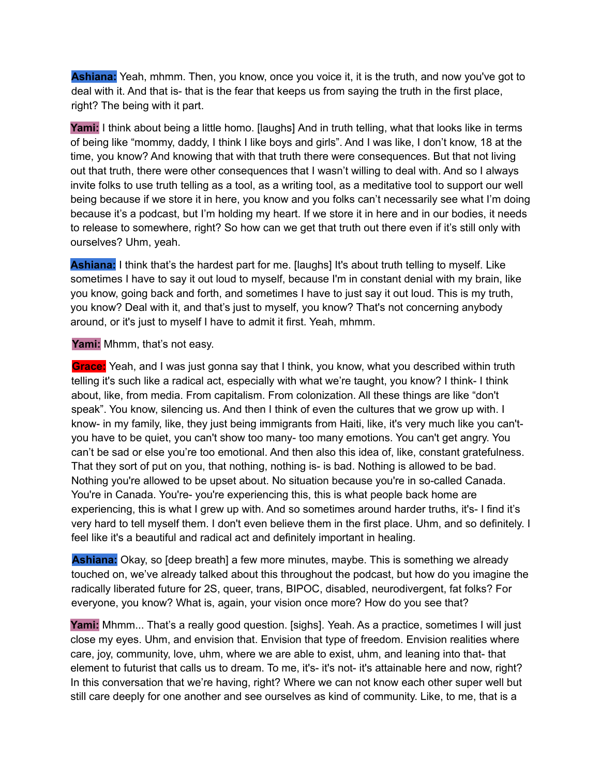**Ashiana:** Yeah, mhmm. Then, you know, once you voice it, it is the truth, and now you've got to deal with it. And that is- that is the fear that keeps us from saying the truth in the first place, right? The being with it part.

**Yami:** I think about being a little homo. [laughs] And in truth telling, what that looks like in terms of being like "mommy, daddy, I think I like boys and girls". And I was like, I don't know, 18 at the time, you know? And knowing that with that truth there were consequences. But that not living out that truth, there were other consequences that I wasn't willing to deal with. And so I always invite folks to use truth telling as a tool, as a writing tool, as a meditative tool to support our well being because if we store it in here, you know and you folks can't necessarily see what I'm doing because it's a podcast, but I'm holding my heart. If we store it in here and in our bodies, it needs to release to somewhere, right? So how can we get that truth out there even if it's still only with ourselves? Uhm, yeah.

**Ashiana:** I think that's the hardest part for me. [laughs] It's about truth telling to myself. Like sometimes I have to say it out loud to myself, because I'm in constant denial with my brain, like you know, going back and forth, and sometimes I have to just say it out loud. This is my truth, you know? Deal with it, and that's just to myself, you know? That's not concerning anybody around, or it's just to myself I have to admit it first. Yeah, mhmm.

#### Yami: Mhmm, that's not easy.

**Grace:** Yeah, and I was just gonna say that I think, you know, what you described within truth telling it's such like a radical act, especially with what we're taught, you know? I think- I think about, like, from media. From capitalism. From colonization. All these things are like "don't speak". You know, silencing us. And then I think of even the cultures that we grow up with. I know- in my family, like, they just being immigrants from Haiti, like, it's very much like you can'tyou have to be quiet, you can't show too many- too many emotions. You can't get angry. You can't be sad or else you're too emotional. And then also this idea of, like, constant gratefulness. That they sort of put on you, that nothing, nothing is- is bad. Nothing is allowed to be bad. Nothing you're allowed to be upset about. No situation because you're in so-called Canada. You're in Canada. You're- you're experiencing this, this is what people back home are experiencing, this is what I grew up with. And so sometimes around harder truths, it's- I find it's very hard to tell myself them. I don't even believe them in the first place. Uhm, and so definitely. I feel like it's a beautiful and radical act and definitely important in healing.

**Ashiana:** Okay, so [deep breath] a few more minutes, maybe. This is something we already touched on, we've already talked about this throughout the podcast, but how do you imagine the radically liberated future for 2S, queer, trans, BIPOC, disabled, neurodivergent, fat folks? For everyone, you know? What is, again, your vision once more? How do you see that?

Yami: Mhmm... That's a really good question. [sighs]. Yeah. As a practice, sometimes I will just close my eyes. Uhm, and envision that. Envision that type of freedom. Envision realities where care, joy, community, love, uhm, where we are able to exist, uhm, and leaning into that- that element to futurist that calls us to dream. To me, it's- it's not- it's attainable here and now, right? In this conversation that we're having, right? Where we can not know each other super well but still care deeply for one another and see ourselves as kind of community. Like, to me, that is a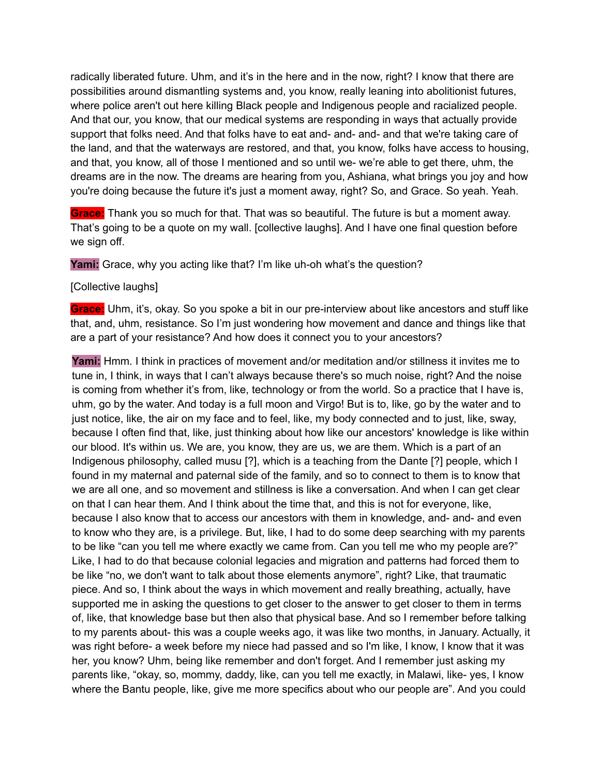radically liberated future. Uhm, and it's in the here and in the now, right? I know that there are possibilities around dismantling systems and, you know, really leaning into abolitionist futures, where police aren't out here killing Black people and Indigenous people and racialized people. And that our, you know, that our medical systems are responding in ways that actually provide support that folks need. And that folks have to eat and- and- and- and that we're taking care of the land, and that the waterways are restored, and that, you know, folks have access to housing, and that, you know, all of those I mentioned and so until we- we're able to get there, uhm, the dreams are in the now. The dreams are hearing from you, Ashiana, what brings you joy and how you're doing because the future it's just a moment away, right? So, and Grace. So yeah. Yeah.

**Grace:** Thank you so much for that. That was so beautiful. The future is but a moment away. That's going to be a quote on my wall. [collective laughs]. And I have one final question before we sign off.

**Yami:** Grace, why you acting like that? I'm like uh-oh what's the question?

# [Collective laughs]

**Grace:** Uhm, it's, okay. So you spoke a bit in our pre-interview about like ancestors and stuff like that, and, uhm, resistance. So I'm just wondering how movement and dance and things like that are a part of your resistance? And how does it connect you to your ancestors?

**Yami:** Hmm. I think in practices of movement and/or meditation and/or stillness it invites me to tune in, I think, in ways that I can't always because there's so much noise, right? And the noise is coming from whether it's from, like, technology or from the world. So a practice that I have is, uhm, go by the water. And today is a full moon and Virgo! But is to, like, go by the water and to just notice, like, the air on my face and to feel, like, my body connected and to just, like, sway, because I often find that, like, just thinking about how like our ancestors' knowledge is like within our blood. It's within us. We are, you know, they are us, we are them. Which is a part of an Indigenous philosophy, called musu [?], which is a teaching from the Dante [?] people, which I found in my maternal and paternal side of the family, and so to connect to them is to know that we are all one, and so movement and stillness is like a conversation. And when I can get clear on that I can hear them. And I think about the time that, and this is not for everyone, like, because I also know that to access our ancestors with them in knowledge, and- and- and even to know who they are, is a privilege. But, like, I had to do some deep searching with my parents to be like "can you tell me where exactly we came from. Can you tell me who my people are?" Like, I had to do that because colonial legacies and migration and patterns had forced them to be like "no, we don't want to talk about those elements anymore", right? Like, that traumatic piece. And so, I think about the ways in which movement and really breathing, actually, have supported me in asking the questions to get closer to the answer to get closer to them in terms of, like, that knowledge base but then also that physical base. And so I remember before talking to my parents about- this was a couple weeks ago, it was like two months, in January. Actually, it was right before- a week before my niece had passed and so I'm like, I know, I know that it was her, you know? Uhm, being like remember and don't forget. And I remember just asking my parents like, "okay, so, mommy, daddy, like, can you tell me exactly, in Malawi, like- yes, I know where the Bantu people, like, give me more specifics about who our people are". And you could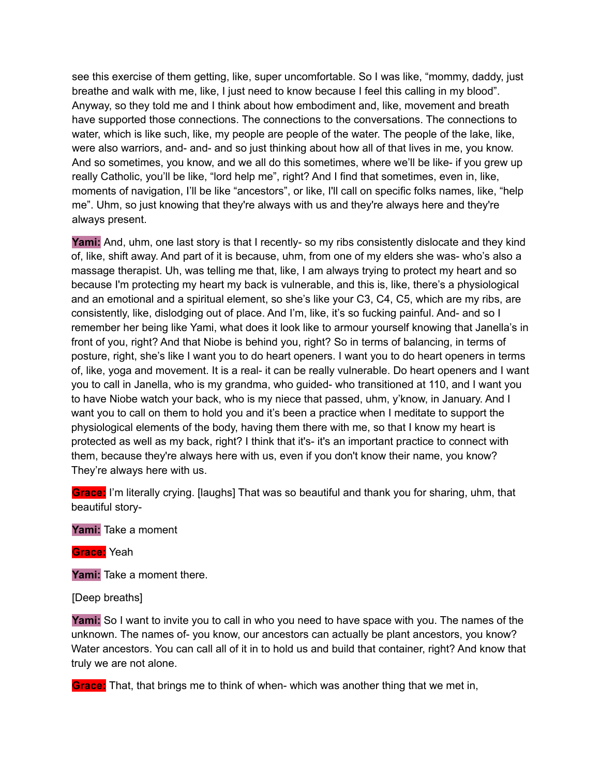see this exercise of them getting, like, super uncomfortable. So I was like, "mommy, daddy, just breathe and walk with me, like, I just need to know because I feel this calling in my blood". Anyway, so they told me and I think about how embodiment and, like, movement and breath have supported those connections. The connections to the conversations. The connections to water, which is like such, like, my people are people of the water. The people of the lake, like, were also warriors, and- and- and so just thinking about how all of that lives in me, you know. And so sometimes, you know, and we all do this sometimes, where we'll be like- if you grew up really Catholic, you'll be like, "lord help me", right? And I find that sometimes, even in, like, moments of navigation, I'll be like "ancestors", or like, I'll call on specific folks names, like, "help me". Uhm, so just knowing that they're always with us and they're always here and they're always present.

Yami: And, uhm, one last story is that I recently- so my ribs consistently dislocate and they kind of, like, shift away. And part of it is because, uhm, from one of my elders she was- who's also a massage therapist. Uh, was telling me that, like, I am always trying to protect my heart and so because I'm protecting my heart my back is vulnerable, and this is, like, there's a physiological and an emotional and a spiritual element, so she's like your C3, C4, C5, which are my ribs, are consistently, like, dislodging out of place. And I'm, like, it's so fucking painful. And- and so I remember her being like Yami, what does it look like to armour yourself knowing that Janella's in front of you, right? And that Niobe is behind you, right? So in terms of balancing, in terms of posture, right, she's like I want you to do heart openers. I want you to do heart openers in terms of, like, yoga and movement. It is a real- it can be really vulnerable. Do heart openers and I want you to call in Janella, who is my grandma, who guided- who transitioned at 110, and I want you to have Niobe watch your back, who is my niece that passed, uhm, y'know, in January. And I want you to call on them to hold you and it's been a practice when I meditate to support the physiological elements of the body, having them there with me, so that I know my heart is protected as well as my back, right? I think that it's- it's an important practice to connect with them, because they're always here with us, even if you don't know their name, you know? They're always here with us.

**Grace:** I'm literally crying. [laughs] That was so beautiful and thank you for sharing, uhm, that beautiful story-

**Yami:** Take a moment

**Grace:** Yeah

**Yami:** Take a moment there.

[Deep breaths]

**Yami:** So I want to invite you to call in who you need to have space with you. The names of the unknown. The names of- you know, our ancestors can actually be plant ancestors, you know? Water ancestors. You can call all of it in to hold us and build that container, right? And know that truly we are not alone.

**Grace:** That, that brings me to think of when- which was another thing that we met in,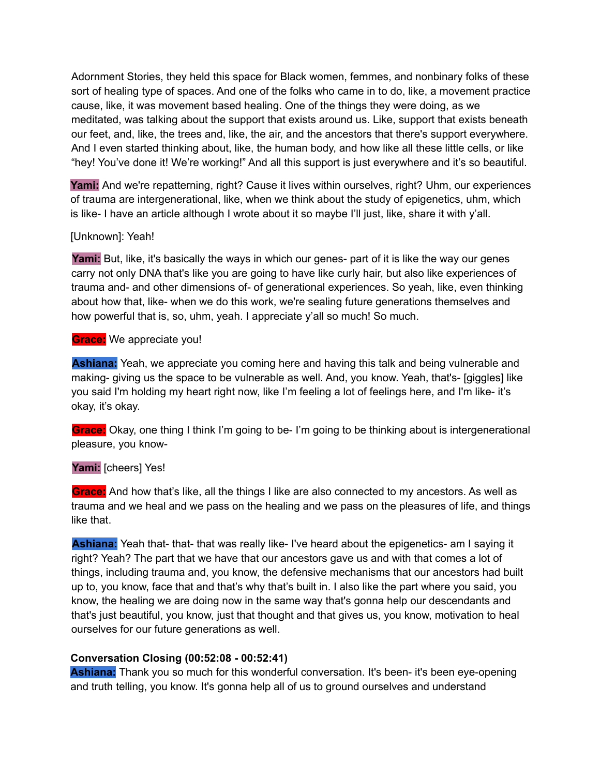Adornment Stories, they held this space for Black women, femmes, and nonbinary folks of these sort of healing type of spaces. And one of the folks who came in to do, like, a movement practice cause, like, it was movement based healing. One of the things they were doing, as we meditated, was talking about the support that exists around us. Like, support that exists beneath our feet, and, like, the trees and, like, the air, and the ancestors that there's support everywhere. And I even started thinking about, like, the human body, and how like all these little cells, or like "hey! You've done it! We're working!" And all this support is just everywhere and it's so beautiful.

**Yami:** And we're repatterning, right? Cause it lives within ourselves, right? Uhm, our experiences of trauma are intergenerational, like, when we think about the study of epigenetics, uhm, which is like- I have an article although I wrote about it so maybe I'll just, like, share it with y'all.

# [Unknown]: Yeah!

**Yami:** But, like, it's basically the ways in which our genes- part of it is like the way our genes carry not only DNA that's like you are going to have like curly hair, but also like experiences of trauma and- and other dimensions of- of generational experiences. So yeah, like, even thinking about how that, like- when we do this work, we're sealing future generations themselves and how powerful that is, so, uhm, yeah. I appreciate y'all so much! So much.

# **Grace:** We appreciate you!

**Ashiana:** Yeah, we appreciate you coming here and having this talk and being vulnerable and making- giving us the space to be vulnerable as well. And, you know. Yeah, that's- [giggles] like you said I'm holding my heart right now, like I'm feeling a lot of feelings here, and I'm like- it's okay, it's okay.

**Grace:** Okay, one thing I think I'm going to be- I'm going to be thinking about is intergenerational pleasure, you know-

# **Yami:** [cheers] Yes!

**Grace:** And how that's like, all the things I like are also connected to my ancestors. As well as trauma and we heal and we pass on the healing and we pass on the pleasures of life, and things like that.

**Ashiana:** Yeah that- that- that was really like- I've heard about the epigenetics- am I saying it right? Yeah? The part that we have that our ancestors gave us and with that comes a lot of things, including trauma and, you know, the defensive mechanisms that our ancestors had built up to, you know, face that and that's why that's built in. I also like the part where you said, you know, the healing we are doing now in the same way that's gonna help our descendants and that's just beautiful, you know, just that thought and that gives us, you know, motivation to heal ourselves for our future generations as well.

# **Conversation Closing (00:52:08 - 00:52:41)**

**Ashiana:** Thank you so much for this wonderful conversation. It's been- it's been eye-opening and truth telling, you know. It's gonna help all of us to ground ourselves and understand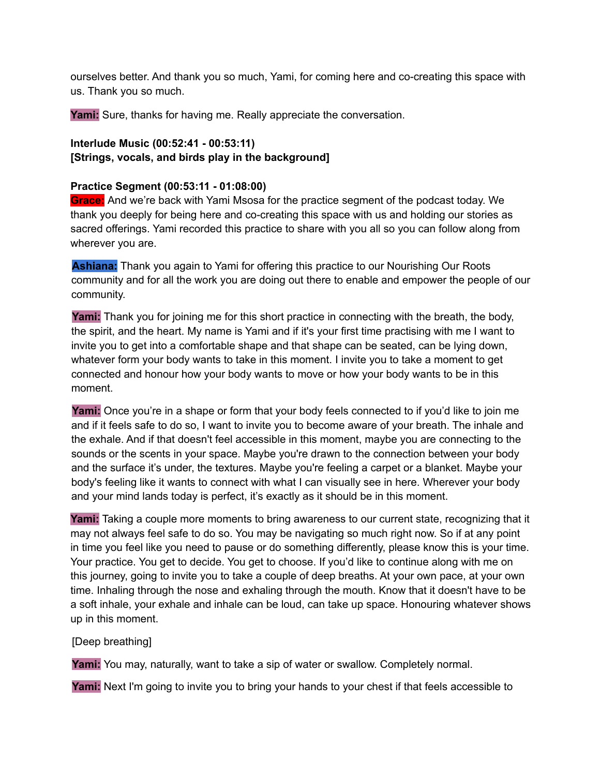ourselves better. And thank you so much, Yami, for coming here and co-creating this space with us. Thank you so much.

**Yami:** Sure, thanks for having me. Really appreciate the conversation.

# **Interlude Music (00:52:41 - 00:53:11) [Strings, vocals, and birds play in the background]**

#### **Practice Segment (00:53:11 - 01:08:00)**

**Grace:** And we're back with Yami Msosa for the practice segment of the podcast today. We thank you deeply for being here and co-creating this space with us and holding our stories as sacred offerings. Yami recorded this practice to share with you all so you can follow along from wherever you are.

**Ashiana:** Thank you again to Yami for offering this practice to our Nourishing Our Roots community and for all the work you are doing out there to enable and empower the people of our community.

**Yami:** Thank you for joining me for this short practice in connecting with the breath, the body, the spirit, and the heart. My name is Yami and if it's your first time practising with me I want to invite you to get into a comfortable shape and that shape can be seated, can be lying down, whatever form your body wants to take in this moment. I invite you to take a moment to get connected and honour how your body wants to move or how your body wants to be in this moment.

**Yami:** Once you're in a shape or form that your body feels connected to if you'd like to join me and if it feels safe to do so, I want to invite you to become aware of your breath. The inhale and the exhale. And if that doesn't feel accessible in this moment, maybe you are connecting to the sounds or the scents in your space. Maybe you're drawn to the connection between your body and the surface it's under, the textures. Maybe you're feeling a carpet or a blanket. Maybe your body's feeling like it wants to connect with what I can visually see in here. Wherever your body and your mind lands today is perfect, it's exactly as it should be in this moment.

**Yami:** Taking a couple more moments to bring awareness to our current state, recognizing that it may not always feel safe to do so. You may be navigating so much right now. So if at any point in time you feel like you need to pause or do something differently, please know this is your time. Your practice. You get to decide. You get to choose. If you'd like to continue along with me on this journey, going to invite you to take a couple of deep breaths. At your own pace, at your own time. Inhaling through the nose and exhaling through the mouth. Know that it doesn't have to be a soft inhale, your exhale and inhale can be loud, can take up space. Honouring whatever shows up in this moment.

[Deep breathing]

**Yami:** You may, naturally, want to take a sip of water or swallow. Completely normal.

**Yami:** Next I'm going to invite you to bring your hands to your chest if that feels accessible to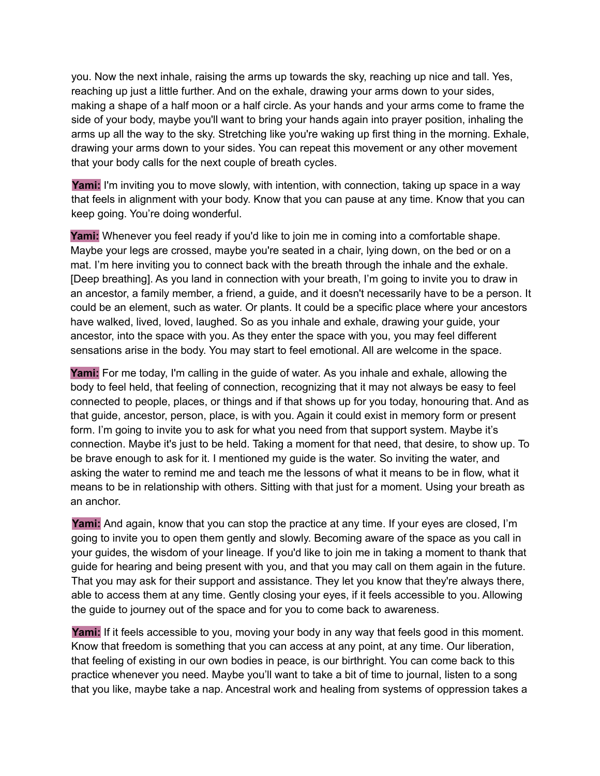you. Now the next inhale, raising the arms up towards the sky, reaching up nice and tall. Yes, reaching up just a little further. And on the exhale, drawing your arms down to your sides, making a shape of a half moon or a half circle. As your hands and your arms come to frame the side of your body, maybe you'll want to bring your hands again into prayer position, inhaling the arms up all the way to the sky. Stretching like you're waking up first thing in the morning. Exhale, drawing your arms down to your sides. You can repeat this movement or any other movement that your body calls for the next couple of breath cycles.

**Yami:** I'm inviting you to move slowly, with intention, with connection, taking up space in a way that feels in alignment with your body. Know that you can pause at any time. Know that you can keep going. You're doing wonderful.

Yami: Whenever you feel ready if you'd like to join me in coming into a comfortable shape. Maybe your legs are crossed, maybe you're seated in a chair, lying down, on the bed or on a mat. I'm here inviting you to connect back with the breath through the inhale and the exhale. [Deep breathing]. As you land in connection with your breath, I'm going to invite you to draw in an ancestor, a family member, a friend, a guide, and it doesn't necessarily have to be a person. It could be an element, such as water. Or plants. It could be a specific place where your ancestors have walked, lived, loved, laughed. So as you inhale and exhale, drawing your guide, your ancestor, into the space with you. As they enter the space with you, you may feel different sensations arise in the body. You may start to feel emotional. All are welcome in the space.

**Yami:** For me today, I'm calling in the guide of water. As you inhale and exhale, allowing the body to feel held, that feeling of connection, recognizing that it may not always be easy to feel connected to people, places, or things and if that shows up for you today, honouring that. And as that guide, ancestor, person, place, is with you. Again it could exist in memory form or present form. I'm going to invite you to ask for what you need from that support system. Maybe it's connection. Maybe it's just to be held. Taking a moment for that need, that desire, to show up. To be brave enough to ask for it. I mentioned my guide is the water. So inviting the water, and asking the water to remind me and teach me the lessons of what it means to be in flow, what it means to be in relationship with others. Sitting with that just for a moment. Using your breath as an anchor.

**Yami:** And again, know that you can stop the practice at any time. If your eyes are closed, I'm going to invite you to open them gently and slowly. Becoming aware of the space as you call in your guides, the wisdom of your lineage. If you'd like to join me in taking a moment to thank that guide for hearing and being present with you, and that you may call on them again in the future. That you may ask for their support and assistance. They let you know that they're always there, able to access them at any time. Gently closing your eyes, if it feels accessible to you. Allowing the guide to journey out of the space and for you to come back to awareness.

**Yami:** If it feels accessible to you, moving your body in any way that feels good in this moment. Know that freedom is something that you can access at any point, at any time. Our liberation, that feeling of existing in our own bodies in peace, is our birthright. You can come back to this practice whenever you need. Maybe you'll want to take a bit of time to journal, listen to a song that you like, maybe take a nap. Ancestral work and healing from systems of oppression takes a